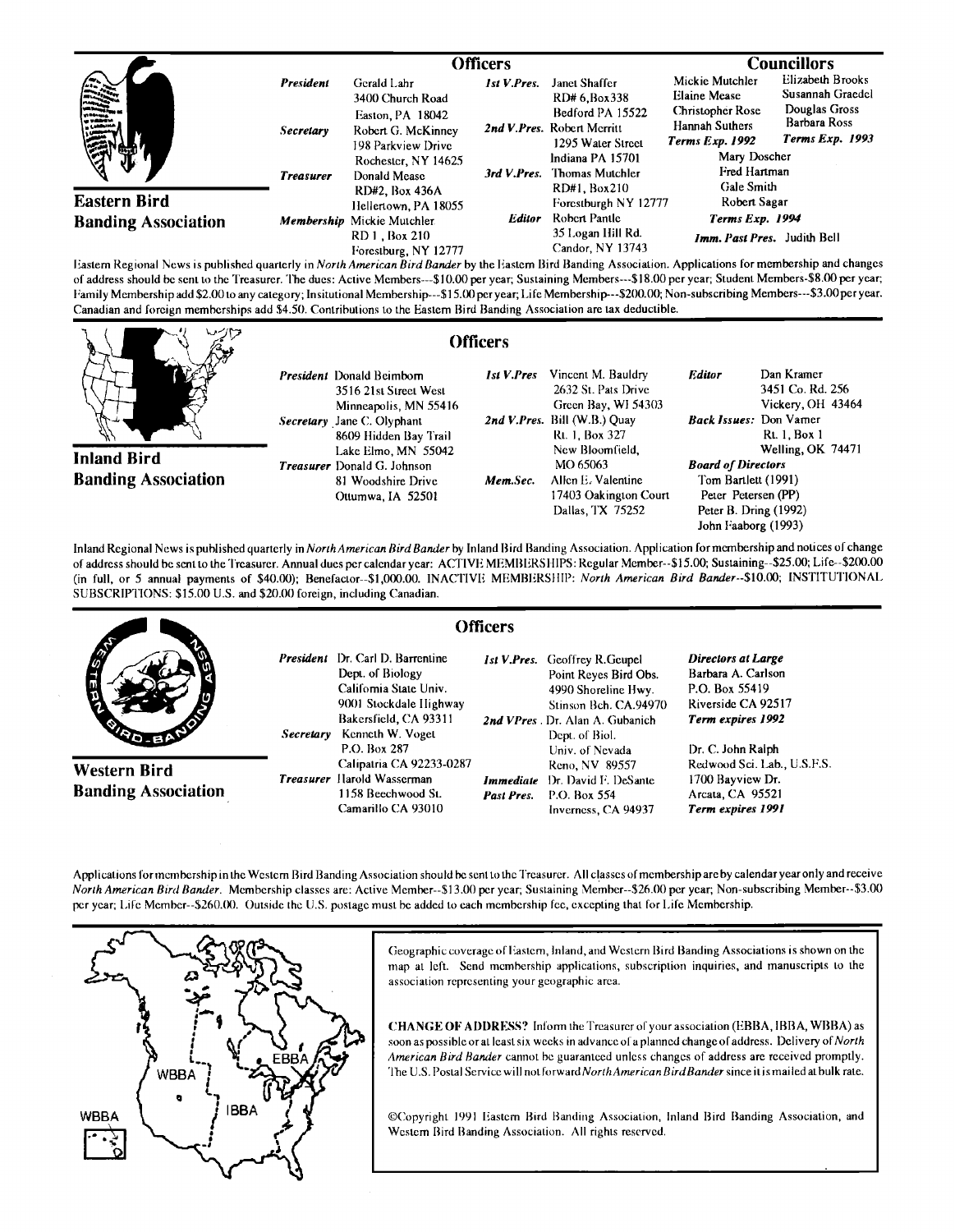|                                                                                                                                                                                        |                             | <b>Officers</b>                                              |                    | <b>Councillors</b>                                                             |                                                                     |                                                         |
|----------------------------------------------------------------------------------------------------------------------------------------------------------------------------------------|-----------------------------|--------------------------------------------------------------|--------------------|--------------------------------------------------------------------------------|---------------------------------------------------------------------|---------------------------------------------------------|
|                                                                                                                                                                                        | President                   | Gerald Lahr<br>3400 Church Road                              | <b>Ist V.Pres.</b> | Janet Shaffer<br>RD# 6.Box338                                                  | Mickie Mutchler<br>Elaine Mease                                     | Elizabeth Brooks<br>Susannah Graedel                    |
| $\begin{array}{l} \begin{array}{l} \text{if $\mathbf{a} \in \mathbb{R}^n$}\\ \text{if $\mathbf{a} \in \mathbb{R}^n$}\\ \text{if $\mathbf{a} \in \mathbb{R}^n$}\end{array} \end{array}$ | Secretary                   | Easton, PA 18042<br>Robert G. McKinney<br>198 Parkview Drive |                    | Bedford PA 15522<br>2nd V.Pres. Robert Merritt<br>1295 Water Street            | <b>Christopher Rose</b><br>Hannah Suthers<br><b>Terms Exp. 1992</b> | Douglas Gross<br>Barbara Ross<br><b>Terms Exp. 1993</b> |
|                                                                                                                                                                                        | <b>Treasurer</b>            | Rochester, NY 14625<br>Donald Mease                          |                    | Indiana PA 15701<br>Thomas Mutchler<br>3rd V.Pres.<br>RD#1, Box210             |                                                                     | Mary Doscher<br>Fred Hartman                            |
| <b>Eastern Bird</b>                                                                                                                                                                    | Membership Mickie Mutchler. | RD#2, Box 436A<br>Hellertown, PA 18055                       | <b>Editor</b>      | Forestburgh NY 12777<br>Robert Pantle<br>35 Logan Hill Rd.<br>Candor, NY 13743 | Gale Smith<br>Robert Sagar<br>Terms Exp. 1994                       |                                                         |
| <b>Banding Association</b>                                                                                                                                                             |                             | RD 1, Box 210<br>Forestburg, NY 12777                        |                    |                                                                                | Imm. Past Pres. Judith Bell                                         |                                                         |

**Eastern Regional News is published quarterly in North American BirdBander by the Eastern Bird Banding Association. Applications for membership and changes**  of address should be sent to the Treasurer. The dues: Active Members---\$10.00 per year; Sustaining Members---\$18.00 per year; Student Members-\$8.00 per year; **Family Membership add \$2.00 to any category; Insitutional Membership---\$15.00 per year; Life Membership---S200.00; Non-subscribing Members---S3.00 per year. Canadian and foreign memberships add \$4.50. Contributions tothe Eastern Bird Banding Association are tax deductible.** 

**Inland Bird Banding Association**  **President Donald Beimbom 3516 21st Street West Minneapolis, MN 55416 Secretary .Jane C. Olyphant 8609 1tidden Bay Trail Lake Elmo, MN 55042 Treasurer Donald G. Johnson 81 Woodshire Drive Ottumwa, IA 52501** 

## **Officers**

**1st V.Pres Vincent M. Bauldry 2632 St. Pats Drive Green Bay, Wt 54303 2nd V. Pres. Bill (W.B.) Quay Rt. 1, Box 327 New Bloomfield, MO 65063 Mem. Sec. Allen E.. Valentine 17403 Oakington Court Dallas, TX 75252 Editor Dan Kramer 3451 Co. Rd. 256 Vickery, OH 43464 Back Issues: Don Vamer Rt. 1, Box 1 Welling, OK 74471 Board of Directors Tom Banleu (1991) Peter Petersen (PP) Peter B. Dring (1992) John Faaborg (1993)** 

**Inland Regional News is published quarterly in North American Bird Bander by Inland Bird Banding Association. Application for membership and notices of change of address should be sent to the Treasurer. Annual dues per calendar year: ACTIVE MEMBERSItIPS: Regular Member--S15.00; Sustaining--S25.00; Life--S200.00 (in full, or 5 annual payments of \$40.00); Benefactor--\$1,000.00. INACTIVE MEMBERSIIIP: North American Bird Bander--S10.00; INSTITUTIONAL SUBSCRIPTIONS: \$15.00 U.S. and \$20.00 foreign, including Canadian.** 



Applications for membership in the Westem Bird Banding Association should be sent to the Treasurer. All classes of membership are by calendar year only and receive **North American Bird Bander. Membership classes are: Active Member--S13.00 per year; Sustaining Member--S26.00 per year; Non-subscribing Member--S3.00 per year; l,ife Member--\$260.(X). Outside the U.S. postage must be added to each membership fee, excepting that for Life Membership.** 



Geographic coverage of Eastern, Inland, and Western Bird Banding Associations is shown on the map at left. Send membership applications, subscription inquiries, and manuscripts to the **association reprcsenting your geographic area.** 

**CHANGE OF AI)I)RESS? Inform the Treasurer of your association (EBBA, tBBA, WBBA) as**  soon as possible or at least six weeks in advance of a planned change of address. Delivery of *North* **American Bird Bander cannot be guaranteed unless changes of address are received promptly.**  The U.S. Postal Service will not forward North American Bird Bander since it is mailed at bulk rate.

**¸Copyright 1991 Eastem Bird Banding Association, Inland Bird Banding Association, and Western Bird Banding Association. All rights reserved.**